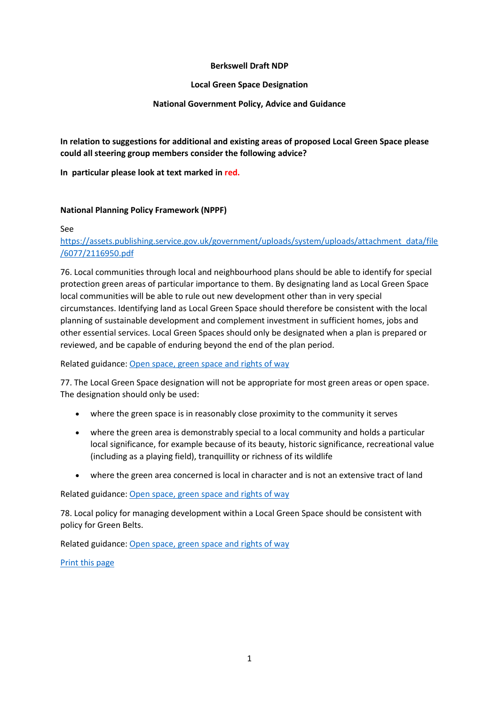## **Berkswell Draft NDP**

## **Local Green Space Designation**

# **National Government Policy, Advice and Guidance**

**In relation to suggestions for additional and existing areas of proposed Local Green Space please could all steering group members consider the following advice?**

**In particular please look at text marked in red.** 

# **National Planning Policy Framework (NPPF)**

#### See

# [https://assets.publishing.service.gov.uk/government/uploads/system/uploads/attachment\\_data/file](https://assets.publishing.service.gov.uk/government/uploads/system/uploads/attachment_data/file/6077/2116950.pdf) [/6077/2116950.pdf](https://assets.publishing.service.gov.uk/government/uploads/system/uploads/attachment_data/file/6077/2116950.pdf)

76. Local communities through local and neighbourhood plans should be able to identify for special protection green areas of particular importance to them. By designating land as Local Green Space local communities will be able to rule out new development other than in very special circumstances. Identifying land as Local Green Space should therefore be consistent with the local planning of sustainable development and complement investment in sufficient homes, jobs and other essential services. Local Green Spaces should only be designated when a plan is prepared or reviewed, and be capable of enduring beyond the end of the plan period.

Related guidance: [Open space, green space and rights of way](https://www.gov.uk/guidance/open-space-sports-and-recreation-facilities-public-rights-of-way-and-local-green-space)

77. The Local Green Space designation will not be appropriate for most green areas or open space. The designation should only be used:

- where the green space is in reasonably close proximity to the community it serves
- where the green area is demonstrably special to a local community and holds a particular local significance, for example because of its beauty, historic significance, recreational value (including as a playing field), tranquillity or richness of its wildlife
- where the green area concerned is local in character and is not an extensive tract of land

Related guidance: [Open space, green space and rights of way](https://www.gov.uk/guidance/open-space-sports-and-recreation-facilities-public-rights-of-way-and-local-green-space)

78. Local policy for managing development within a Local Green Space should be consistent with policy for Green Belts.

Related guidance: [Open space, green space and rights of way](https://www.gov.uk/guidance/open-space-sports-and-recreation-facilities-public-rights-of-way-and-local-green-space)

[Print this page](https://www.gov.uk/guidance/national-planning-policy-framework/8-promoting-healthy-communities)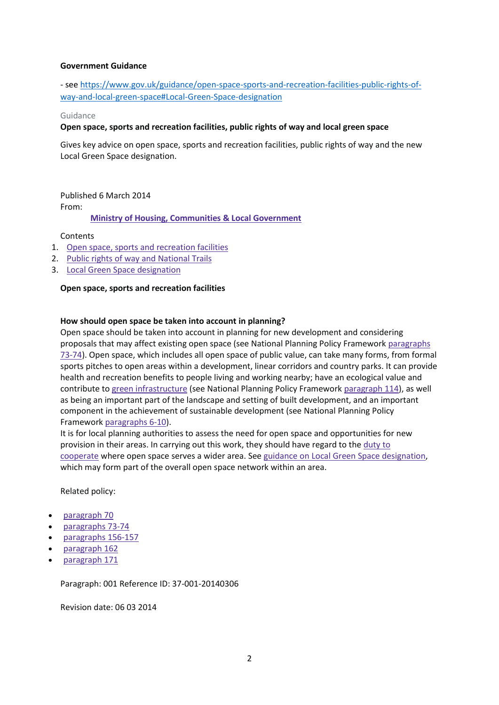## **Government Guidance**

- se[e https://www.gov.uk/guidance/open-space-sports-and-recreation-facilities-public-rights-of](https://www.gov.uk/guidance/open-space-sports-and-recreation-facilities-public-rights-of-way-and-local-green-space%23Local-Green-Space-designation)[way-and-local-green-space#Local-Green-Space-designation](https://www.gov.uk/guidance/open-space-sports-and-recreation-facilities-public-rights-of-way-and-local-green-space%23Local-Green-Space-designation)

#### Guidance

#### **Open space, sports and recreation facilities, public rights of way and local green space**

Gives key advice on open space, sports and recreation facilities, public rights of way and the new Local Green Space designation.

Published 6 March 2014 From:

**Ministry of Housing, [Communities](https://www.gov.uk/government/organisations/ministry-of-housing-communities-and-local-government) & Local Government**

**Contents** 

- 1. Open space, sports and [recreation](https://www.gov.uk/guidance/open-space-sports-and-recreation-facilities-public-rights-of-way-and-local-green-space#open-space-sports-and-recreation-facilities) facilities
- 2. Public rights of way and [National](https://www.gov.uk/guidance/open-space-sports-and-recreation-facilities-public-rights-of-way-and-local-green-space#public-rights-of-way) Trails
- 3. Local Green Space [designation](https://www.gov.uk/guidance/open-space-sports-and-recreation-facilities-public-rights-of-way-and-local-green-space#Local-Green-Space-designation)

#### **Open space, sports and recreation facilities**

## **How should open space be taken into account in planning?**

Open space should be taken into account in planning for new development and considering proposals that may affect existing open space (see National Planning Policy Framework [paragraphs](https://www.gov.uk/guidance/national-planning-policy-framework/8-promoting-healthy-communities#para073) [73-74\)](https://www.gov.uk/guidance/national-planning-policy-framework/8-promoting-healthy-communities#para073). Open space, which includes all open space of public value, can take many forms, from formal sports pitches to open areas within a development, linear corridors and country parks. It can provide health and recreation benefits to people living and working nearby; have an ecological value and contribute to green [infrastructure](https://www.gov.uk/guidance/natural-environment#Green-Infrastructure) (see National Planning Policy Framework [paragraph](https://www.gov.uk/guidance/national-planning-policy-framework/11-conserving-and-enhancing-the-natural-environment#para114) 114), as well as being an important part of the landscape and setting of built development, and an important component in the achievement of sustainable development (see National Planning Policy Framework [paragraphs](https://www.gov.uk/guidance/national-planning-policy-framework/achieving-sustainable-development) 6-10).

It is for local planning authorities to assess the need for open space and opportunities for new provision in their areas. In carrying out this work, they should have regard to the [duty](https://www.gov.uk/guidance/duty-to-cooperate) to [cooperate](https://www.gov.uk/guidance/duty-to-cooperate) where open space serves a wider area. See guidance on Local Green Space [designation,](https://www.gov.uk/guidance/open-space-sports-and-recreation-facilities-public-rights-of-way-and-local-green-space#Local-Green-Space-designation) which may form part of the overall open space network within an area.

Related policy:

- [paragraph](https://www.gov.uk/guidance/national-planning-policy-framework/8-promoting-healthy-communities#para070) 70
- [paragraphs](https://www.gov.uk/guidance/national-planning-policy-framework/8-promoting-healthy-communities#para073) 73-74
- [paragraphs](https://www.gov.uk/guidance/national-planning-policy-framework/plan-making#para157) 156-157
- [paragraph](https://www.gov.uk/guidance/national-planning-policy-framework/plan-making#para162) 162
- [paragraph](https://www.gov.uk/guidance/national-planning-policy-framework/plan-making#para171) 171

Paragraph: 001 Reference ID: 37-001-20140306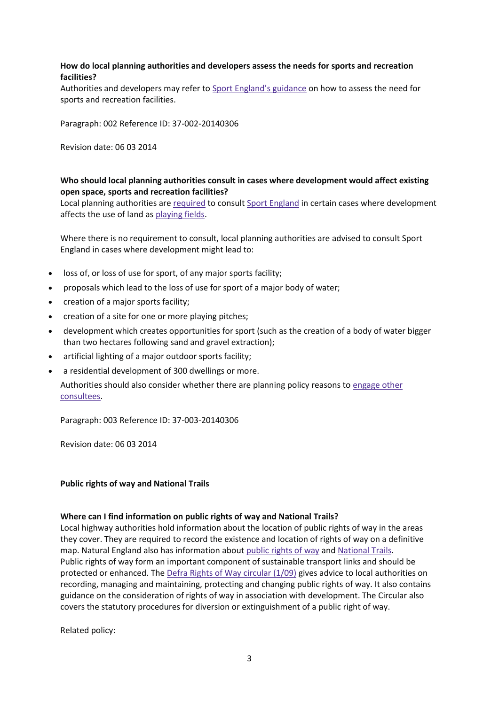# **How do local planning authorities and developers assess the needs for sports and recreation facilities?**

Authorities and developers may refer to Sport [England's](http://www.sportengland.org/facilities-planning/planning-for-sport/planning-tools-and-guidance/) guidance on how to assess the need for sports and recreation facilities.

Paragraph: 002 Reference ID: 37-002-20140306

Revision date: 06 03 2014

# **Who should local planning authorities consult in cases where development would affect existing open space, sports and recreation facilities?**

Local planning authorities are [required](http://www.legislation.gov.uk/uksi/2015/595/contents/made) to consult Sport [England](http://www.sportengland.org/facilities-planning/) in certain cases where development affects the use of land as [playing](https://www.gov.uk/guidance/consultation-and-pre-decision-matters#Statutory-consultees-on-applications) fields.

Where there is no requirement to consult, local planning authorities are advised to consult Sport England in cases where development might lead to:

- loss of, or loss of use for sport, of any major sports facility;
- proposals which lead to the loss of use for sport of a major body of water;
- creation of a major sports facility;
- creation of a site for one or more playing pitches;
- development which creates opportunities for sport (such as the creation of a body of water bigger than two hectares following sand and gravel extraction);
- artificial lighting of a major outdoor sports facility;
- a residential development of 300 dwellings or more.

Authorities should also consider whether there are planning policy reasons to [engage](https://www.gov.uk/guidance/consultation-and-pre-decision-matters#Non-statutory-consultees) other [consultees.](https://www.gov.uk/guidance/consultation-and-pre-decision-matters#Non-statutory-consultees)

Paragraph: 003 Reference ID: 37-003-20140306

Revision date: 06 03 2014

## **Public rights of way and National Trails**

## **Where can I find information on public rights of way and National Trails?**

Local highway authorities hold information about the location of public rights of way in the areas they cover. They are required to record the existence and location of rights of way on a definitive map. Natural England also has information about [public](https://www.gov.uk/outdoor-access-recreation/rights-of-way-open-access) rights of way and [National](https://www.gov.uk/government/publications/management-of-national-trails-the-new-deal) Trails. Public rights of way form an important component of sustainable transport links and should be protected or enhanced. The Defra Rights of Way [circular](https://www.gov.uk/government/publications/rights-of-way-circular-1-09) (1/09) gives advice to local authorities on recording, managing and maintaining, protecting and changing public rights of way. It also contains guidance on the consideration of rights of way in association with development. The Circular also covers the statutory procedures for diversion or extinguishment of a public right of way.

Related policy: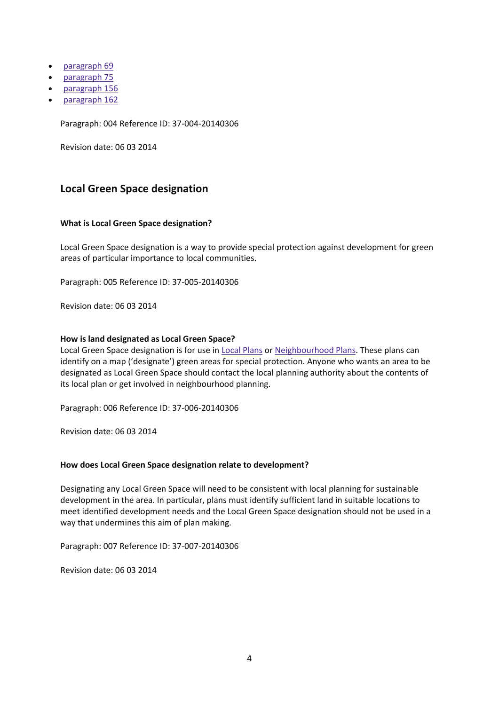- [paragraph](https://www.gov.uk/guidance/national-planning-policy-framework/8-promoting-healthy-communities) 69
- [paragraph](https://www.gov.uk/guidance/national-planning-policy-framework/8-promoting-healthy-communities#para075) 75
- [paragraph](https://www.gov.uk/guidance/national-planning-policy-framework/plan-making#para156) 156
- [paragraph](https://www.gov.uk/guidance/national-planning-policy-framework/plan-making#para162) 162

Paragraph: 004 Reference ID: 37-004-20140306

Revision date: 06 03 2014

# **Local Green Space designation**

## **What is Local Green Space designation?**

Local Green Space designation is a way to provide special protection against development for green areas of particular importance to local communities.

Paragraph: 005 Reference ID: 37-005-20140306

Revision date: 06 03 2014

#### **How is land designated as Local Green Space?**

Local Green Space designation is for use in Local [Plans](https://www.gov.uk/guidance/local-plans--2) or [Neighbourhood](https://www.gov.uk/guidance/neighbourhood-planning--2) Plans. These plans can identify on a map ('designate') green areas for special protection. Anyone who wants an area to be designated as Local Green Space should contact the local planning authority about the contents of its local plan or get involved in neighbourhood planning.

Paragraph: 006 Reference ID: 37-006-20140306

Revision date: 06 03 2014

## **How does Local Green Space designation relate to development?**

Designating any Local Green Space will need to be consistent with local planning for sustainable development in the area. In particular, plans must identify sufficient land in suitable locations to meet identified development needs and the Local Green Space designation should not be used in a way that undermines this aim of plan making.

Paragraph: 007 Reference ID: 37-007-20140306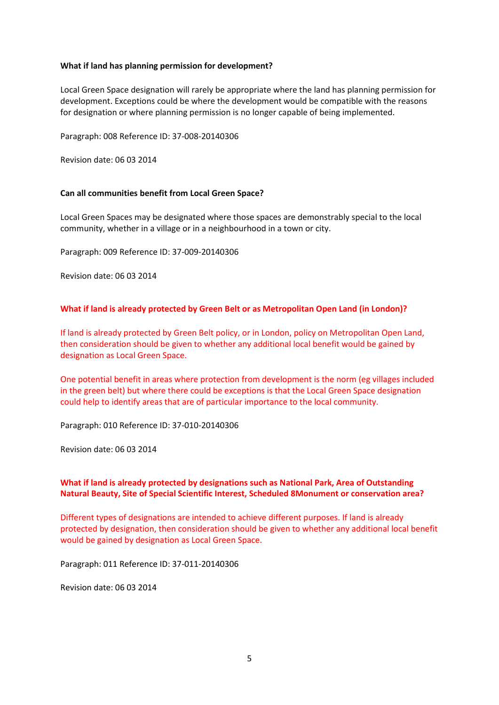## **What if land has planning permission for development?**

Local Green Space designation will rarely be appropriate where the land has planning permission for development. Exceptions could be where the development would be compatible with the reasons for designation or where planning permission is no longer capable of being implemented.

Paragraph: 008 Reference ID: 37-008-20140306

Revision date: 06 03 2014

## **Can all communities benefit from Local Green Space?**

Local Green Spaces may be designated where those spaces are demonstrably special to the local community, whether in a village or in a neighbourhood in a town or city.

Paragraph: 009 Reference ID: 37-009-20140306

Revision date: 06 03 2014

## **What if land is already protected by Green Belt or as Metropolitan Open Land (in London)?**

If land is already protected by Green Belt policy, or in London, policy on Metropolitan Open Land, then consideration should be given to whether any additional local benefit would be gained by designation as Local Green Space.

One potential benefit in areas where protection from development is the norm (eg villages included in the green belt) but where there could be exceptions is that the Local Green Space designation could help to identify areas that are of particular importance to the local community.

Paragraph: 010 Reference ID: 37-010-20140306

Revision date: 06 03 2014

# **What if land is already protected by designations such as National Park, Area of Outstanding Natural Beauty, Site of Special Scientific Interest, Scheduled 8Monument or conservation area?**

Different types of designations are intended to achieve different purposes. If land is already protected by designation, then consideration should be given to whether any additional local benefit would be gained by designation as Local Green Space.

Paragraph: 011 Reference ID: 37-011-20140306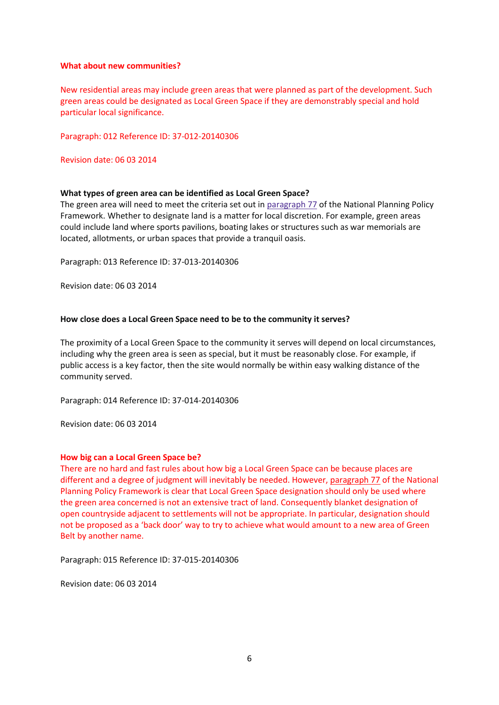#### **What about new communities?**

New residential areas may include green areas that were planned as part of the development. Such green areas could be designated as Local Green Space if they are demonstrably special and hold particular local significance.

Paragraph: 012 Reference ID: 37-012-20140306

Revision date: 06 03 2014

## **What types of green area can be identified as Local Green Space?**

The green area will need to meet the criteria set out in [paragraph](https://www.gov.uk/guidance/national-planning-policy-framework/8-promoting-healthy-communities#para077) 77 of the National Planning Policy Framework. Whether to designate land is a matter for local discretion. For example, green areas could include land where sports pavilions, boating lakes or structures such as war memorials are located, allotments, or urban spaces that provide a tranquil oasis.

Paragraph: 013 Reference ID: 37-013-20140306

Revision date: 06 03 2014

## **How close does a Local Green Space need to be to the community it serves?**

The proximity of a Local Green Space to the community it serves will depend on local circumstances, including why the green area is seen as special, but it must be reasonably close. For example, if public access is a key factor, then the site would normally be within easy walking distance of the community served.

Paragraph: 014 Reference ID: 37-014-20140306

Revision date: 06 03 2014

#### **How big can a Local Green Space be?**

There are no hard and fast rules about how big a Local Green Space can be because places are different and a degree of judgment will inevitably be needed. However, [paragraph](https://www.gov.uk/guidance/national-planning-policy-framework/8-promoting-healthy-communities#para077) 77 of the National Planning Policy Framework is clear that Local Green Space designation should only be used where the green area concerned is not an extensive tract of land. Consequently blanket designation of open countryside adjacent to settlements will not be appropriate. In particular, designation should not be proposed as a 'back door' way to try to achieve what would amount to a new area of Green Belt by another name.

Paragraph: 015 Reference ID: 37-015-20140306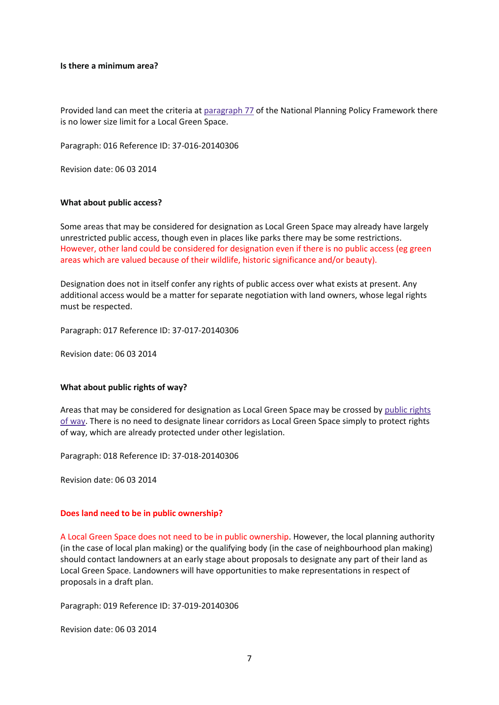#### **Is there a minimum area?**

Provided land can meet the criteria at [paragraph](https://www.gov.uk/guidance/national-planning-policy-framework/8-promoting-healthy-communities#para077) 77 of the National Planning Policy Framework there is no lower size limit for a Local Green Space.

Paragraph: 016 Reference ID: 37-016-20140306

Revision date: 06 03 2014

#### **What about public access?**

Some areas that may be considered for designation as Local Green Space may already have largely unrestricted public access, though even in places like parks there may be some restrictions. However, other land could be considered for designation even if there is no public access (eg green areas which are valued because of their wildlife, historic significance and/or beauty).

Designation does not in itself confer any rights of public access over what exists at present. Any additional access would be a matter for separate negotiation with land owners, whose legal rights must be respected.

Paragraph: 017 Reference ID: 37-017-20140306

Revision date: 06 03 2014

## **What about public rights of way?**

Areas that may be considered for designation as Local Green Space may be crossed by [public](https://www.gov.uk/guidance/open-space-sports-and-recreation-facilities-public-rights-of-way-and-local-green-space#public-rights-of-way) rights of [way.](https://www.gov.uk/guidance/open-space-sports-and-recreation-facilities-public-rights-of-way-and-local-green-space#public-rights-of-way) There is no need to designate linear corridors as Local Green Space simply to protect rights of way, which are already protected under other legislation.

Paragraph: 018 Reference ID: 37-018-20140306

Revision date: 06 03 2014

## **Does land need to be in public ownership?**

A Local Green Space does not need to be in public ownership. However, the local planning authority (in the case of local plan making) or the qualifying body (in the case of neighbourhood plan making) should contact landowners at an early stage about proposals to designate any part of their land as Local Green Space. Landowners will have opportunities to make representations in respect of proposals in a draft plan.

Paragraph: 019 Reference ID: 37-019-20140306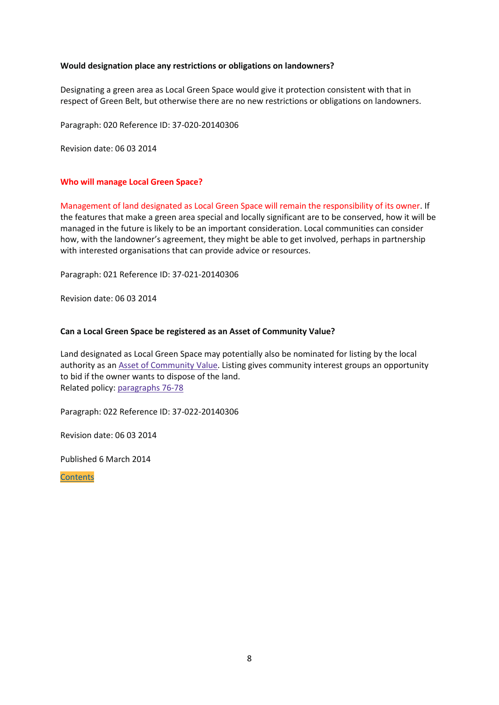## **Would designation place any restrictions or obligations on landowners?**

Designating a green area as Local Green Space would give it protection consistent with that in respect of Green Belt, but otherwise there are no new restrictions or obligations on landowners.

Paragraph: 020 Reference ID: 37-020-20140306

Revision date: 06 03 2014

## **Who will manage Local Green Space?**

Management of land designated as Local Green Space will remain the responsibility of its owner. If the features that make a green area special and locally significant are to be conserved, how it will be managed in the future is likely to be an important consideration. Local communities can consider how, with the landowner's agreement, they might be able to get involved, perhaps in partnership with interested organisations that can provide advice or resources.

Paragraph: 021 Reference ID: 37-021-20140306

Revision date: 06 03 2014

## **Can a Local Green Space be registered as an Asset of Community Value?**

Land designated as Local Green Space may potentially also be nominated for listing by the local authority as an Asset of [Community](https://www.gov.uk/government/publications/community-right-to-bid-non-statutory-advice-note-for-local-authorities) Value. Listing gives community interest groups an opportunity to bid if the owner wants to dispose of the land. Related policy: [paragraphs](https://www.gov.uk/guidance/national-planning-policy-framework/8-promoting-healthy-communities#para076) 76-78

Paragraph: 022 Reference ID: 37-022-20140306

Revision date: 06 03 2014

Published 6 March 2014

**[Contents](https://www.gov.uk/guidance/open-space-sports-and-recreation-facilities-public-rights-of-way-and-local-green-space#contents)**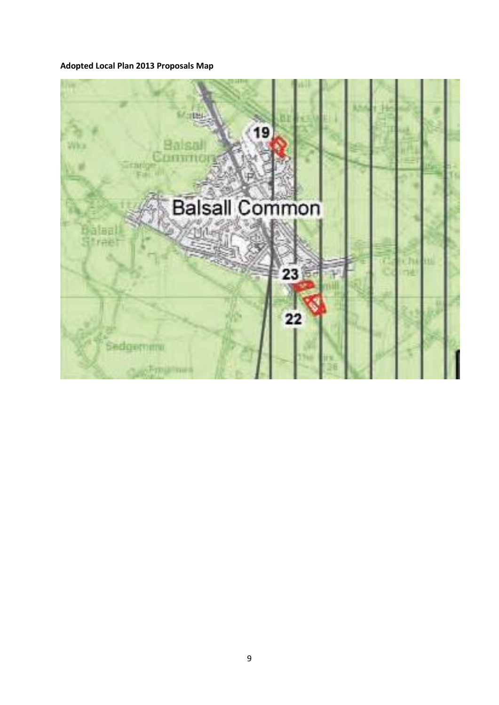# **Adopted Local Plan 2013 Proposals Map**